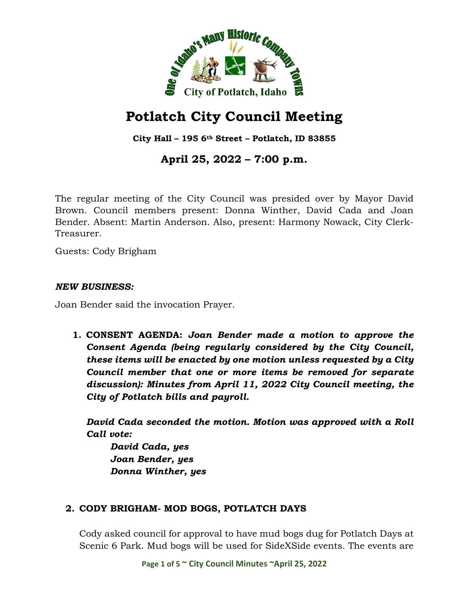

# **Potlatch City Council Meeting**

**City Hall – 195 6th Street – Potlatch, ID 83855**

# **April 25, 2022 – 7:00 p.m.**

The regular meeting of the City Council was presided over by Mayor David Brown. Council members present: Donna Winther, David Cada and Joan Bender. Absent: Martin Anderson. Also, present: Harmony Nowack, City Clerk-Treasurer.

Guests: Cody Brigham

#### *NEW BUSINESS:*

Joan Bender said the invocation Prayer.

**1. CONSENT AGENDA:** *Joan Bender made a motion to approve the Consent Agenda (being regularly considered by the City Council, these items will be enacted by one motion unless requested by a City Council member that one or more items be removed for separate discussion): Minutes from April 11, 2022 City Council meeting, the City of Potlatch bills and payroll.*

*David Cada seconded the motion. Motion was approved with a Roll Call vote:*

*David Cada, yes Joan Bender, yes Donna Winther, yes*

### **2. CODY BRIGHAM- MOD BOGS, POTLATCH DAYS**

Cody asked council for approval to have mud bogs dug for Potlatch Days at Scenic 6 Park. Mud bogs will be used for SideXSide events. The events are

**Page 1 of 5 ~ City Council Minutes ~April 25, 2022**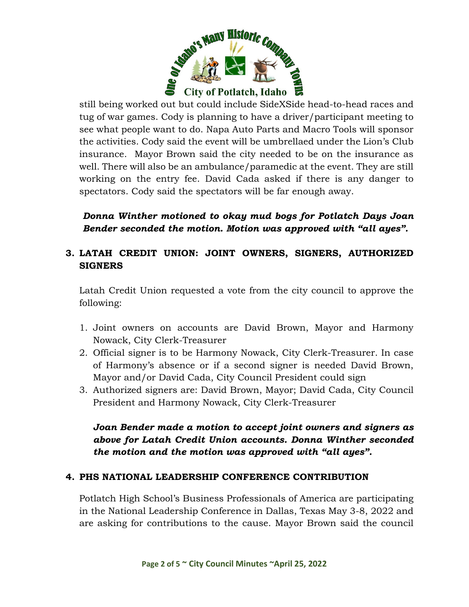

still being worked out but could include SideXSide head-to-head races and tug of war games. Cody is planning to have a driver/participant meeting to see what people want to do. Napa Auto Parts and Macro Tools will sponsor the activities. Cody said the event will be umbrellaed under the Lion's Club insurance. Mayor Brown said the city needed to be on the insurance as well. There will also be an ambulance/paramedic at the event. They are still working on the entry fee. David Cada asked if there is any danger to spectators. Cody said the spectators will be far enough away.

*Donna Winther motioned to okay mud bogs for Potlatch Days Joan Bender seconded the motion. Motion was approved with "all ayes".* 

# **3. LATAH CREDIT UNION: JOINT OWNERS, SIGNERS, AUTHORIZED SIGNERS**

Latah Credit Union requested a vote from the city council to approve the following:

- 1. Joint owners on accounts are David Brown, Mayor and Harmony Nowack, City Clerk-Treasurer
- 2. Official signer is to be Harmony Nowack, City Clerk-Treasurer. In case of Harmony's absence or if a second signer is needed David Brown, Mayor and/or David Cada, City Council President could sign
- 3. Authorized signers are: David Brown, Mayor; David Cada, City Council President and Harmony Nowack, City Clerk-Treasurer

## *Joan Bender made a motion to accept joint owners and signers as above for Latah Credit Union accounts. Donna Winther seconded the motion and the motion was approved with "all ayes".*

### **4. PHS NATIONAL LEADERSHIP CONFERENCE CONTRIBUTION**

Potlatch High School's Business Professionals of America are participating in the National Leadership Conference in Dallas, Texas May 3-8, 2022 and are asking for contributions to the cause. Mayor Brown said the council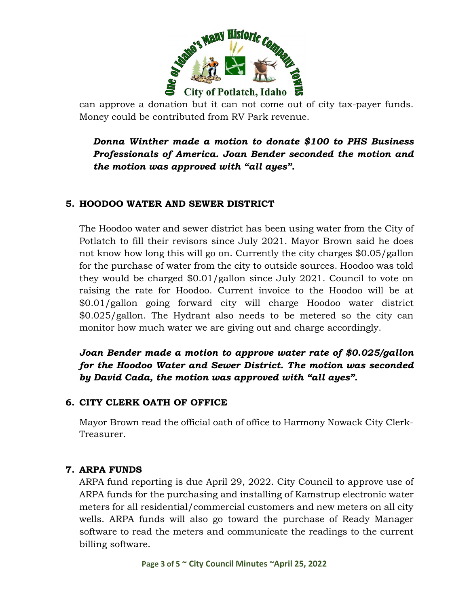

can approve a donation but it can not come out of city tax-payer funds. Money could be contributed from RV Park revenue.

*Donna Winther made a motion to donate \$100 to PHS Business Professionals of America. Joan Bender seconded the motion and the motion was approved with "all ayes".*

### **5. HOODOO WATER AND SEWER DISTRICT**

The Hoodoo water and sewer district has been using water from the City of Potlatch to fill their revisors since July 2021. Mayor Brown said he does not know how long this will go on. Currently the city charges \$0.05/gallon for the purchase of water from the city to outside sources. Hoodoo was told they would be charged \$0.01/gallon since July 2021. Council to vote on raising the rate for Hoodoo. Current invoice to the Hoodoo will be at \$0.01/gallon going forward city will charge Hoodoo water district \$0.025/gallon. The Hydrant also needs to be metered so the city can monitor how much water we are giving out and charge accordingly.

*Joan Bender made a motion to approve water rate of \$0.025/gallon for the Hoodoo Water and Sewer District. The motion was seconded by David Cada, the motion was approved with "all ayes".*

### **6. CITY CLERK OATH OF OFFICE**

Mayor Brown read the official oath of office to Harmony Nowack City Clerk-Treasurer.

#### **7. ARPA FUNDS**

ARPA fund reporting is due April 29, 2022. City Council to approve use of ARPA funds for the purchasing and installing of Kamstrup electronic water meters for all residential/commercial customers and new meters on all city wells. ARPA funds will also go toward the purchase of Ready Manager software to read the meters and communicate the readings to the current billing software.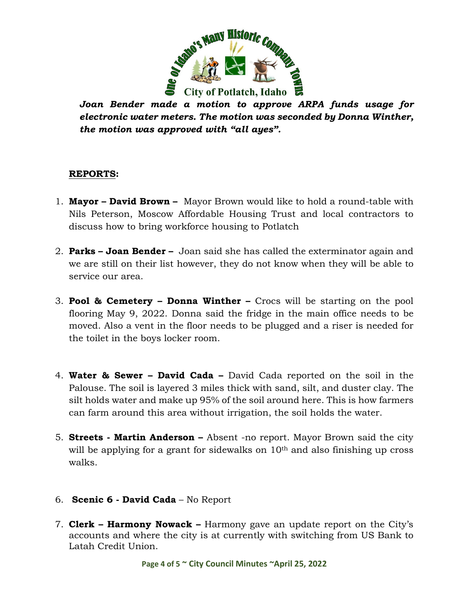

*Joan Bender made a motion to approve ARPA funds usage for electronic water meters. The motion was seconded by Donna Winther, the motion was approved with "all ayes".* 

### **REPORTS:**

- 1. **Mayor David Brown** Mayor Brown would like to hold a round-table with Nils Peterson, Moscow Affordable Housing Trust and local contractors to discuss how to bring workforce housing to Potlatch
- 2. **Parks Joan Bender** Joan said she has called the exterminator again and we are still on their list however, they do not know when they will be able to service our area.
- 3. **Pool & Cemetery Donna Winther –** Crocs will be starting on the pool flooring May 9, 2022. Donna said the fridge in the main office needs to be moved. Also a vent in the floor needs to be plugged and a riser is needed for the toilet in the boys locker room.
- 4. **Water & Sewer David Cada –** David Cada reported on the soil in the Palouse. The soil is layered 3 miles thick with sand, silt, and duster clay. The silt holds water and make up 95% of the soil around here. This is how farmers can farm around this area without irrigation, the soil holds the water.
- 5. **Streets Martin Anderson** Absent -no report. Mayor Brown said the city will be applying for a grant for sidewalks on  $10<sup>th</sup>$  and also finishing up cross walks.
- 6. **Scenic 6 David Cada** No Report
- 7. **Clerk Harmony Nowack –** Harmony gave an update report on the City's accounts and where the city is at currently with switching from US Bank to Latah Credit Union.